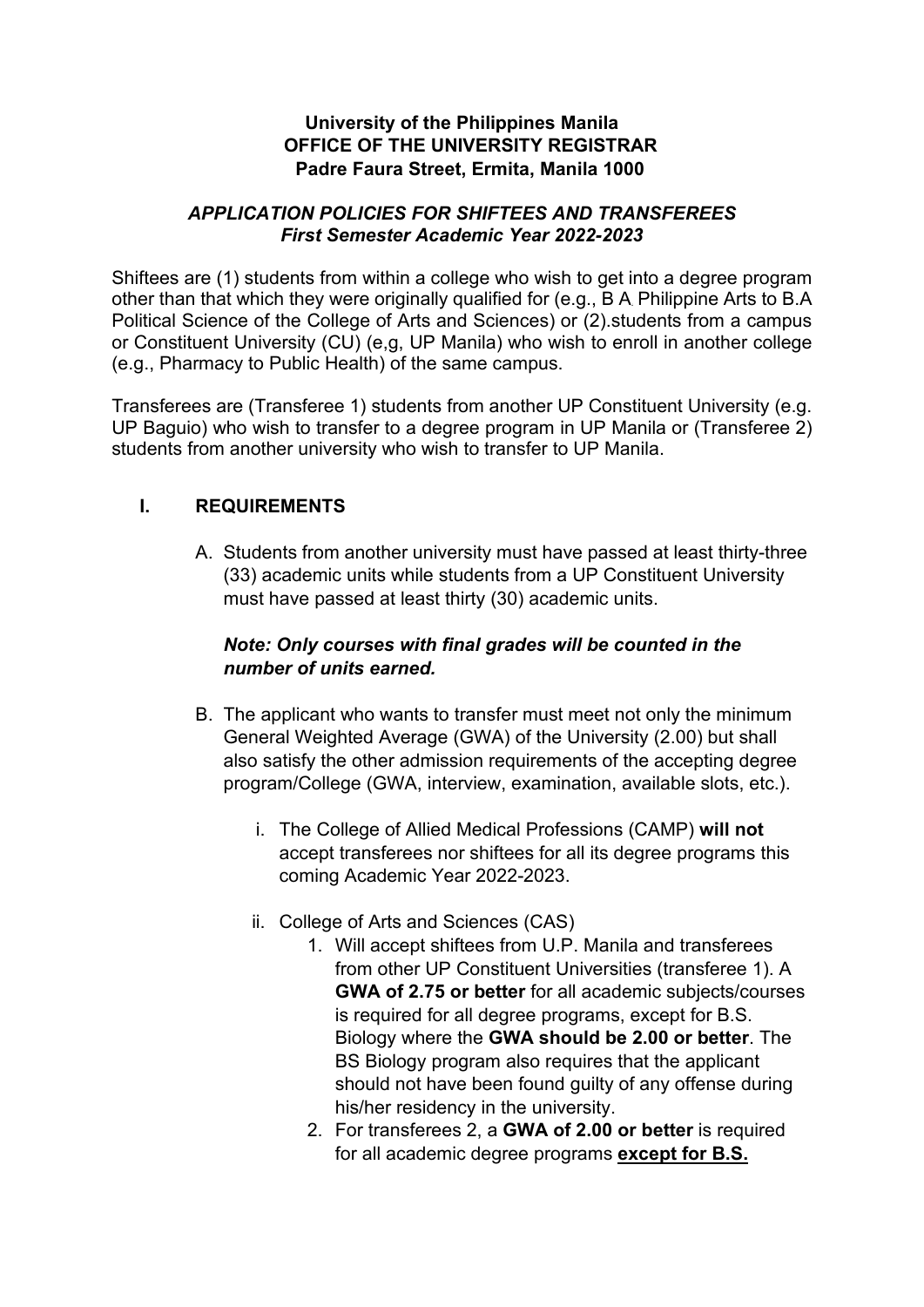## **University of the Philippines Manila OFFICE OF THE UNIVERSITY REGISTRAR Padre Faura Street, Ermita, Manila 1000**

#### *APPLICATION POLICIES FOR SHIFTEES AND TRANSFEREES First Semester Academic Year 2022-2023*

Shiftees are (1) students from within a college who wish to get into a degree program other than that which they were originally qualified for (e.g., B A Philippine Arts to B.A Political Science of the College of Arts and Sciences) or (2).students from a campus or Constituent University (CU) (e,g, UP Manila) who wish to enroll in another college (e.g., Pharmacy to Public Health) of the same campus.

Transferees are (Transferee 1) students from another UP Constituent University (e.g. UP Baguio) who wish to transfer to a degree program in UP Manila or (Transferee 2) students from another university who wish to transfer to UP Manila.

# **I. REQUIREMENTS**

A. Students from another university must have passed at least thirty-three (33) academic units while students from a UP Constituent University must have passed at least thirty (30) academic units.

## *Note: Only courses with final grades will be counted in the number of units earned.*

- B. The applicant who wants to transfer must meet not only the minimum General Weighted Average (GWA) of the University (2.00) but shall also satisfy the other admission requirements of the accepting degree program/College (GWA, interview, examination, available slots, etc.).
	- i. The College of Allied Medical Professions (CAMP) **will not** accept transferees nor shiftees for all its degree programs this coming Academic Year 2022-2023.
	- ii. College of Arts and Sciences (CAS)
		- 1. Will accept shiftees from U.P. Manila and transferees from other UP Constituent Universities (transferee 1). A **GWA of 2.75 or better** for all academic subjects/courses is required for all degree programs, except for B.S. Biology where the **GWA should be 2.00 or better**. The BS Biology program also requires that the applicant should not have been found guilty of any offense during his/her residency in the university.
		- 2. For transferees 2, a **GWA of 2.00 or better** is required for all academic degree programs **except for B.S.**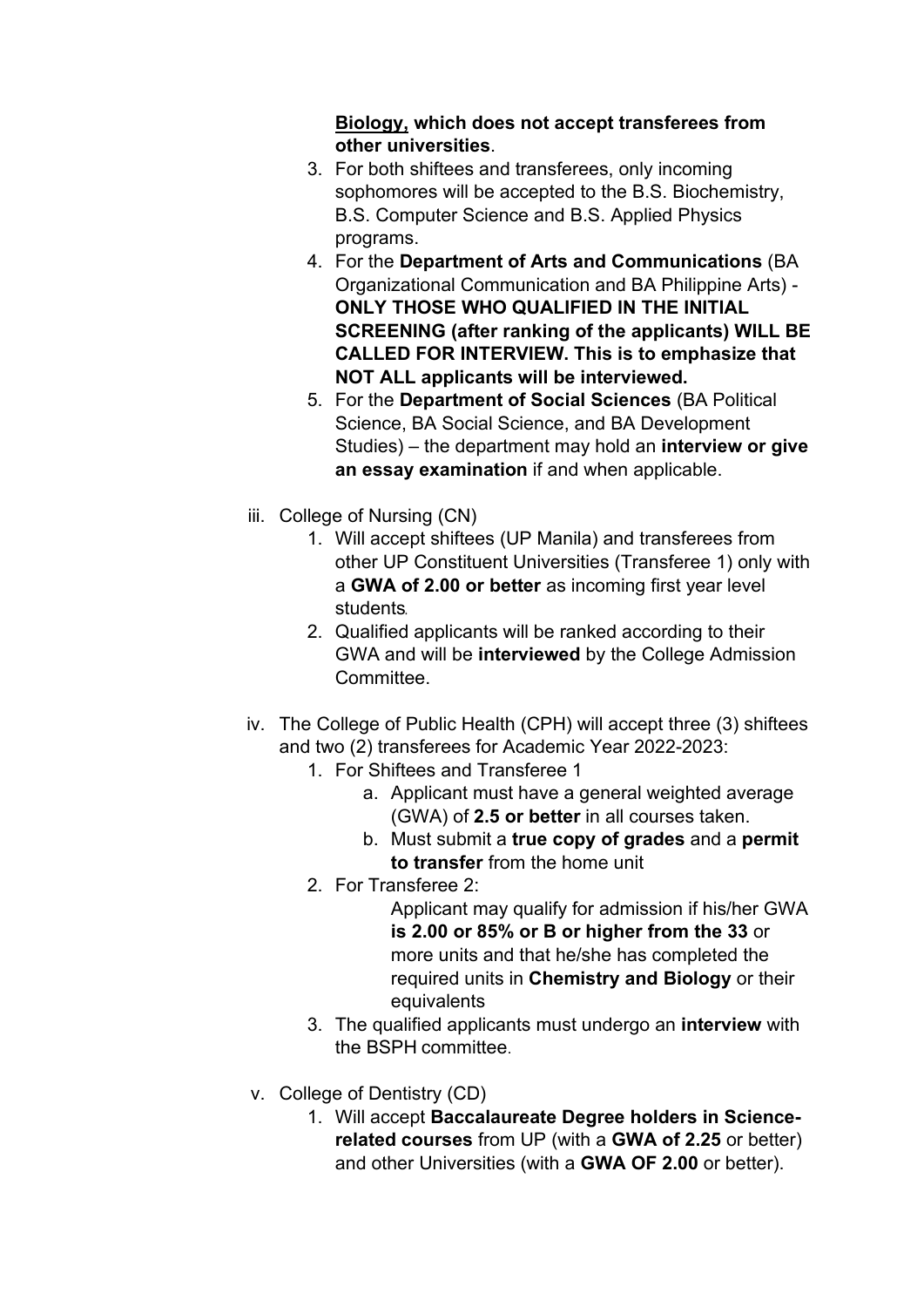## **Biology, which does not accept transferees from other universities**.

- 3. For both shiftees and transferees, only incoming sophomores will be accepted to the B.S. Biochemistry, B.S. Computer Science and B.S. Applied Physics programs.
- 4. For the **Department of Arts and Communications** (BA Organizational Communication and BA Philippine Arts) - **ONLY THOSE WHO QUALIFIED IN THE INITIAL SCREENING (after ranking of the applicants) WILL BE CALLED FOR INTERVIEW. This is to emphasize that NOT ALL applicants will be interviewed.**
- 5. For the **Department of Social Sciences** (BA Political Science, BA Social Science, and BA Development Studies) – the department may hold an **interview or give an essay examination** if and when applicable.
- iii. College of Nursing (CN)
	- 1. Will accept shiftees (UP Manila) and transferees from other UP Constituent Universities (Transferee 1) only with a **GWA of 2.00 or better** as incoming first year level students
	- 2. Qualified applicants will be ranked according to their GWA and will be **interviewed** by the College Admission Committee.
- iv. The College of Public Health (CPH) will accept three (3) shiftees and two (2) transferees for Academic Year 2022-2023:
	- 1. For Shiftees and Transferee 1
		- a. Applicant must have a general weighted average (GWA) of **2.5 or better** in all courses taken.
		- b. Must submit a **true copy of grades** and a **permit to transfer** from the home unit
	- 2. For Transferee 2:

Applicant may qualify for admission if his/her GWA **is 2.00 or 85% or B or higher from the 33** or more units and that he/she has completed the required units in **Chemistry and Biology** or their equivalents

- 3. The qualified applicants must undergo an **interview** with the BSPH committee.
- v. College of Dentistry (CD)
	- 1. Will accept **Baccalaureate Degree holders in Sciencerelated courses** from UP (with a **GWA of 2.25** or better) and other Universities (with a **GWA OF 2.00** or better).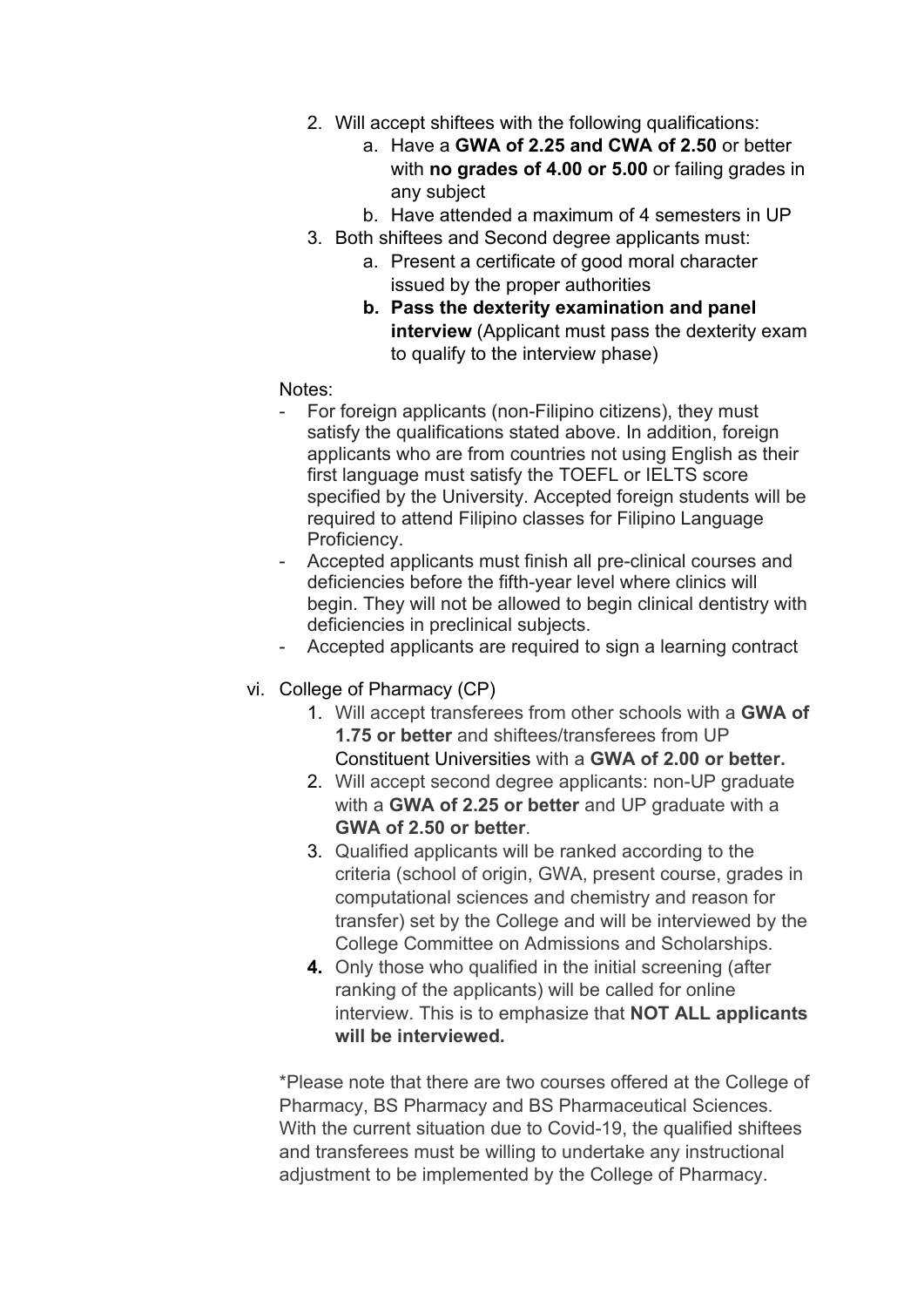- 2. Will accept shiftees with the following qualifications:
	- a. Have a **GWA of 2.25 and CWA of 2.50** or better with **no grades of 4.00 or 5.00** or failing grades in any subject
	- b. Have attended a maximum of 4 semesters in UP
- 3. Both shiftees and Second degree applicants must:
	- a. Present a certificate of good moral character issued by the proper authorities
		- **b. Pass the dexterity examination and panel interview** (Applicant must pass the dexterity exam to qualify to the interview phase)

### Notes:

- For foreign applicants (non-Filipino citizens), they must satisfy the qualifications stated above. In addition, foreign applicants who are from countries not using English as their first language must satisfy the TOEFL or IELTS score specified by the University. Accepted foreign students will be required to attend Filipino classes for Filipino Language Proficiency.
- Accepted applicants must finish all pre-clinical courses and deficiencies before the fifth-year level where clinics will begin. They will not be allowed to begin clinical dentistry with deficiencies in preclinical subjects.
- Accepted applicants are required to sign a learning contract
- vi. College of Pharmacy (CP)
	- 1. Will accept transferees from other schools with a **GWA of 1.75 or better** and shiftees/transferees from UP Constituent Universities with a **GWA of 2.00 or better.**
	- 2. Will accept second degree applicants: non-UP graduate with a **GWA of 2.25 or better** and UP graduate with a **GWA of 2.50 or better**.
	- 3. Qualified applicants will be ranked according to the criteria (school of origin, GWA, present course, grades in computational sciences and chemistry and reason for transfer) set by the College and will be interviewed by the College Committee on Admissions and Scholarships.
	- **4.** Only those who qualified in the initial screening (after ranking of the applicants) will be called for online interview. This is to emphasize that **NOT ALL applicants will be interviewed.**

\*Please note that there are two courses offered at the College of Pharmacy, BS Pharmacy and BS Pharmaceutical Sciences. With the current situation due to Covid-19, the qualified shiftees and transferees must be willing to undertake any instructional adjustment to be implemented by the College of Pharmacy.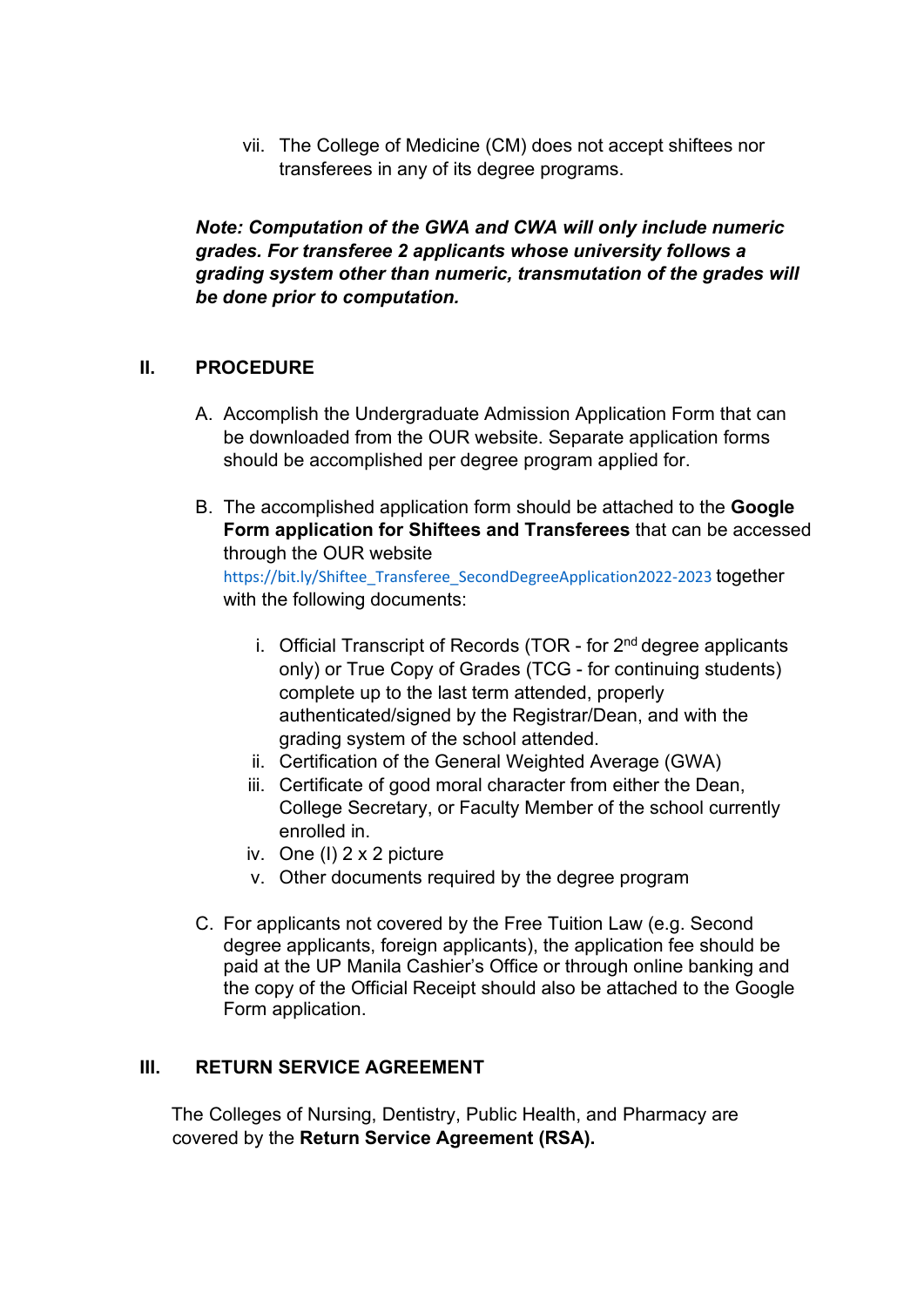vii. The College of Medicine (CM) does not accept shiftees nor transferees in any of its degree programs.

*Note: Computation of the GWA and CWA will only include numeric grades. For transferee 2 applicants whose university follows a grading system other than numeric, transmutation of the grades will be done prior to computation.*

### **II. PROCEDURE**

- A. Accomplish the Undergraduate Admission Application Form that can be downloaded from the OUR website. Separate application forms should be accomplished per degree program applied for.
- B. The accomplished application form should be attached to the **Google Form application for Shiftees and Transferees** that can be accessed through the OUR website

https://bit.ly/Shiftee\_Transferee\_SecondDegreeApplication2022-2023 together with the following documents:

- i. Official Transcript of Records (TOR for 2<sup>nd</sup> degree applicants only) or True Copy of Grades (TCG - for continuing students) complete up to the last term attended, properly authenticated/signed by the Registrar/Dean, and with the grading system of the school attended.
- ii. Certification of the General Weighted Average (GWA)
- iii. Certificate of good moral character from either the Dean, College Secretary, or Faculty Member of the school currently enrolled in.
- iv. One (I) 2 x 2 picture
- v. Other documents required by the degree program
- C. For applicants not covered by the Free Tuition Law (e.g. Second degree applicants, foreign applicants), the application fee should be paid at the UP Manila Cashier's Office or through online banking and the copy of the Official Receipt should also be attached to the Google Form application.

## **III. RETURN SERVICE AGREEMENT**

The Colleges of Nursing, Dentistry, Public Health, and Pharmacy are covered by the **Return Service Agreement (RSA).**